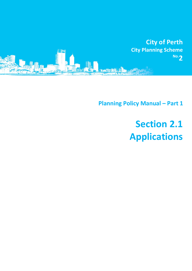

**Planning Policy Manual - Part 1** 

# **Section 2.1 Applications**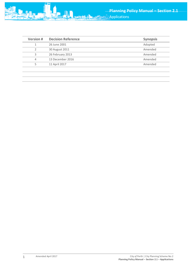

**Version # Decision Reference Synopsis** 1 26 June 2001 Adopted

|   | 30 August 2011   | Amended |
|---|------------------|---------|
|   | 26 February 2013 | Amended |
| 4 | 13 December 2016 | Amended |
| ∽ | 11 April 2017    | Amended |
|   |                  |         |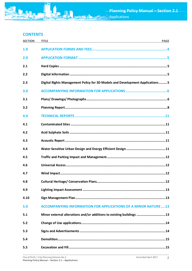# **CONTENTS**

| <b>SECTION</b> | <b>TITLE</b><br><b>PAGE</b>                                                  |
|----------------|------------------------------------------------------------------------------|
| 1.0            |                                                                              |
| 2.0            |                                                                              |
| 2.1            |                                                                              |
| 2.2            |                                                                              |
| 2.3            | Digital Rights Management Policy for 3D Models and Development Applications5 |
| 3.0            |                                                                              |
| 3.1            |                                                                              |
| 3.2            |                                                                              |
| 4.0            |                                                                              |
| 4.1            |                                                                              |
| 4.2            |                                                                              |
| 4.3            |                                                                              |
| 4.4            |                                                                              |
| 4.5            |                                                                              |
| 4.6            |                                                                              |
| 4.7            |                                                                              |
| 4.8            |                                                                              |
| 4.9            |                                                                              |
| 4.10           |                                                                              |
| 5.0            | <b>ACCOMPANYING INFORMATION FOR APPLICATIONS OF A MINOR NATURE13</b>         |
| 5.1            | Minor external alterations and/or additions to existing buildings 13         |
| 5.2            |                                                                              |
| 5.3            |                                                                              |
| 5.4            |                                                                              |
| 5.5            |                                                                              |

**STARTED**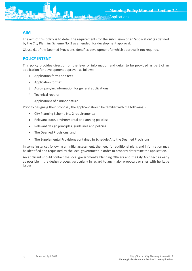# **AIM**

The aim of this policy is to detail the requirements for the submission of an 'application' (as defined by the City Planning Scheme No. 2 as amended) for development approval.

Clause 61 of the Deemed Provisions identifies development for which approval is not required.

# **POLICY INTENT**

This policy provides direction on the level of information and detail to be provided as part of an application for development approval, as follows: -

- 1. Application forms and fees
- 2. Application format
- 3. Accompanying information for general applications
- 4. Technical reports
- 5. Applications of a minor nature

Prior to designing their proposal, the applicant should be familiar with the following:-

- City Planning Scheme No. 2 requirements;
- Relevant state, environmental or planning policies;
- Relevant design principles, guidelines and policies.
- The Deemed Provisions; and
- The Supplemental Provisions contained in Schedule A to the Deemed Provisions.

In some instances following an initial assessment, the need for additional plans and information may be identified and requested by the local government in order to properly determine the application.

An applicant should contact the local government's Planning Officers and the City Architect as early as possible in the design process particularly in regard to any major proposals or sites with heritage issues.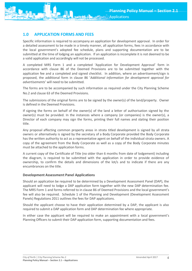

# <span id="page-4-0"></span>**1.0 APPLICATION FORMS AND FEES**

Specific information is required to accompany an application for development approval. In order for a detailed assessment to be made in a timely manner, all application forms, fees in accordance with the local government's adopted fee schedule, plans and supporting documentation are to be submitted at the time of lodging an application. If an application is incomplete it is not deemed to be a valid application and accordingly will not be processed.

A completed MRS Form 1 and a completed 'Application for Development Approval' form in accordance with clause 86 of the Deemed Provisions are to be submitted together with the application fee and a completed and signed checklist. In addition, where an advertisement/sign is proposed, the additional form in clause 86 '*Additional information for development approval for advertisements*' will need to be submitted.

The forms are to be accompanied by such information as required under the City Planning Scheme No.2 and clause 63 of the Deemed Provisions.

The submissions of the original forms are to be signed by the owner(s) of the land/property. Owner is defined in the Deemed Provisions.

If signing the forms on behalf of the owner(s) of the land a letter of authorisation signed by the owner(s) must be provided. In the instances where a company (or companies) is the owner(s), a Director of each company may sign the forms, printing their full names and stating their position title.

Any proposal affecting common property areas in strata titled development is signed by all strata owners or alternatively is signed by the secretary of a Body Corporate provided the Body Corporate has the written authority to act as a representative agent on behalf of the individual strata owners. A copy of the agreement from the Body Corporate as well as a copy of the Body Corporate minutes must be attached to the application forms.

A current copy of the Certificate of Title (no older than 6 months from date of lodgement) including the diagram, is required to be submitted with the application in order to provide evidence of ownership, to confirm the details and dimensions of the lot/s and to indicate if there are any encumbrances on the title.

# **Development Assessment Panel Applications**

Should an application be required to be determined by a Development Assessment Panel (DAP), the applicant will need to lodge a DAP application form together with the new DAP determination fee. The MRS Form 1 and forms referred to in clause 86 of Deemed Provisions and the local government's fee will also be required. Schedule 1 of the Planning and Development (Development Assessment Panels) Regulations 2011 outlines the fees for DAP applications.

Should the applicant choose to have their application determined by a DAP, the applicant is also required to submit a DAP application form and DAP determination fee where appropriate.

In either case the applicant will be required to make an appointment with a local government's Planning Officers to submit their DAP application form, supporting documentation and fees.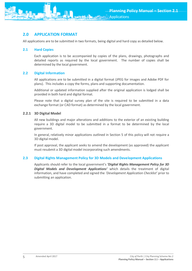<span id="page-5-0"></span>

All applications are to be submitted in two formats, being digital and hard copy as detailed below.

## <span id="page-5-1"></span>**2.1 Hard Copies**

Each application is to be accompanied by copies of the plans, drawings, photographs and detailed reports as required by the local government. The number of copies shall be determined by the local government.

## <span id="page-5-2"></span>**2.2 Digital Information**

All applications are to be submitted in a digital format (JPEG for images and Adobe PDF for plans). This includes a copy the forms, plans and supporting documentation.

Additional or updated information supplied after the original application is lodged shall be provided in both hard and digital format.

Please note that a digital survey plan of the site is required to be submitted in a data exchange format (or CAD format) as determined by the local government.

# **2.2.1 3D Digital Model**

All new buildings and major alterations and additions to the exterior of an existing building require a 3D digital model to be submitted in a format to be determined by the local government.

In general, relatively minor applications outlined in Section 5 of this policy will not require a 3D digital model.

If post approval, the applicant seeks to amend the development (as approved) the applicant must resubmit a 3D digital model incorporating such amendments.

#### <span id="page-5-3"></span>**2.3 Digital Rights Management Policy for 3D Models and Development Applications**

Applicants should refer to the local government's *'Digital Rights Management Policy for 3D Digital Models and Development Applications'* which details the treatment of digital information, and have completed and signed the *'Development Application Checklist'* prior to submitting an application.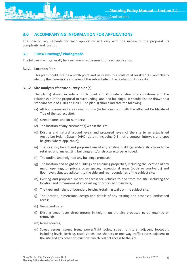<span id="page-6-0"></span>

The specific requirements for each application will vary with the nature of the proposal, its complexity and location.

# <span id="page-6-1"></span>**3.1 Plans/ Drawings/ Photographs**

The following will generally be a minimum requirement for each application:

#### **3.1.1 Location Plan**

This plan should include a north point and be drawn to a scale of at least 1:1000 and clearly identify the dimensions and area of the subject site in the context of its locality.

#### **3.1.2 Site analysis /feature survey plan(s)**

The plan(s) should include a north point and illustrate existing site conditions and the relationship of the proposal to surrounding land and buildings. It should also be drawn to a standard scale of 1:100 or 1:200. The plan(s) should indicate the following: -

- (a) All boundaries and area dimensions (to be consistent with the attached Certificate of Title of the subject site);
- (b) Street names and lot numbers;
- (c) The location of any easement(s) within the site;
- (d) Existing and natural ground levels and proposed levels of the site to an established Australian Height Datum (AHD) datum, including 0.5 metre contour intervals and spot heights (where applicable);
- (e) The location, height and proposed use of any existing buildings and/or structures to be retained and any existing buildings and/or structure to be removed;
- (f) The outline and height of any buildings proposed;
- (g) The location and height of buildings on adjoining properties, including the location of any major openings, or private open spaces, recreational areas (pools or courtyards) and floor levels situated adjacent to the side and rear boundaries of the subject site;
- (h) Existing and proposed means of access for vehicles to and from the site, including the location and dimensions of any existing or proposed crossovers;
- (i) The type and height of boundary fencing/retaining walls on the subject site;
- (j) The location, dimensions, design and details of any existing and proposed landscaped areas;
- (k) Views and vistas;
- (l) Existing trees (over three metres in height) on the site proposed to be retained or removed;
- (m) Noise sources;
- (n) Street verges, street trees, power/light poles, street furniture; adjacent footpaths including levels, kerbing, road islands, bus shelters or one way traffic routes adjacent to the site and any other obstructions which restrict access to the site;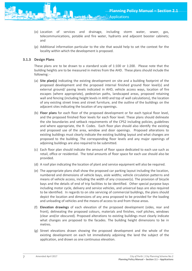

- (o) Location of services and drainage, including storm water, sewer, gas, telecommunications, potable and fire water, hydrants and adjacent booster cabinets; and
- (p) Additional information particular to the site that would help to set the context for the locality within which the development is proposed.

# **3.1.3 Design Plans**

These plans are to be drawn to a standard scale of 1:100 or 1:200. Please note that the building heights are to be measured in metres from the AHD. These plans should include the following: -

- (a) **Site plan(s)** indicating the existing development on site and a building footprint of the proposed development and the proposed internal finished ground floor level(s) and external ground/ paving levels indicated in AHD, vehicle access ways, location of fire escapes (where appropriate), pedestrian paths, landscaped areas, proposed retaining wall and fencing (including height levels in AHD and top of wall calculations), the location of any existing street trees and street furniture, and the outline of the buildings on the adjacent sites indicating the location of any openings.
- (b) **Floor plans** for each floor of the proposed development or for each typical floor level, and the proposed finished floor levels for each floor level. These plans should delineate the site boundaries and setback requirements of the CPS2 including policies, guidelines and where appropriate, the R- Codes. Each floor plan should also identify the existing and proposed use of the area, window and door openings. Proposed alterations to existing buildings must clearly indicate the existing building layout and what changes are proposed to the building. The corresponding floor levels and any major openings of adjoining buildings are also required to be submitted.
- (c) Each floor plan should indicate the amount of floor space dedicated to each use such as retail, office or residential. The total amounts of floor space for each use should also be provided.
- (d) A roof plan indicating the location of plant and service equipment will also be required.
- (e) The appropriate plans shall show the proposed car parking layout including the location, numbered and dimensions of vehicle bays, aisle widths; vehicle circulation patterns and means of vehicle access, including the width of any crossover(s). The provision of bicycle bays and the details of end of trip facilities to be identified. Other special purpose bays including motor cycle, delivery and service vehicles, and universal bays are also required to be identified. In regards to on site servicing of commercial buildings, the plans should depict the location and dimensions of any area proposed to be provided for the loading and unloading of vehicles and the means of access to and from those areas.
- (f) **Elevation drawings** of each elevation of the proposed development (sides, rear and front), delineating the proposed colours, materials and finishes, roof pitches, windows (clear and/or obscured). Proposed alterations to existing buildings must clearly indicate what changes are proposed to the facades. The building height dimensions to be in metres.
- (g) Street elevations drawn showing the proposed development and the whole of the existing development on each lot immediately adjoining the land the subject of the application, and drawn as one continuous elevation.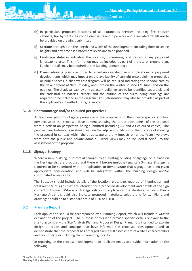

- (i) **Sections** through both the length and width of the development, including floor to ceiling heights and any proposed basement levels are to be provided.
- (j) **Landscape details** indicating the location, dimensions, and design of any proposed landscaping area. This information may be included as part of the site or ground plan. Further details may be required at the Building Licence stage.
- (k) **Overshadowing plan** in order to ascertain overshadowing implications of proposed developments which may impact on the availability of sunlight onto adjoining properties or public spaces, a shadow cast diagram will be required indicating the shadow cast by the development at 9am, midday, and 3pm on the winter solstice (21 June) and on the equinox. The shadows cast by any adjacent buildings are to be identified separately and the cadastral boundaries, streets and the outline of the surrounding buildings are required to be included in the diagram. This information may also be provided as part of the applicant's submitted 3D digital model.

## **3.1.4 Photomontage and/or coloured perspectives**

At least one photomontage superimposing the proposal into the streetscape, or a colour perspective of the proposed development showing the street elevation(s) of the proposal from a pedestrian perspective being submitted (including A4 and A3 coloured copies). The perspective/photomontage should include the adjacent buildings for the purpose of showing the proposal in context within the streetscape and any impacts on critical/sensitive views from both the public and private domain. Other views may be included if helpful to the assessment of the proposal.

#### **3.1.5 Signage Strategy**

Where a new building, substantial changes to an existing building or signage on a place on the Heritage List are proposed and there will be/are multiple tenants a Signage Strategy is required to be submitted with an application to demonstrate that signage has been given appropriate consideration and will be integrated within the building design and/or coordinated across a site.

The Strategy should include details of the location, type, size, method of illumination and total number of signs that are intended for a proposed development and details of the sign content if known. Where a Strategy relates to a place on the Heritage List or within a Heritage Area it should also indicate proposed materials, colours and fonts. Plans and drawings should be to a standard scale of 1:50 or 1:100.

# <span id="page-8-0"></span>**3.2 Planning Report**

Each application should be accompanied by a Planning Report, which will include a written explanation of the project. The purpose of this is to provide specific details relevant to the site to accompany the Site Analysis Plan and Proposed Design Plans. It is intended to explain design principles and concepts that have informed the proposed development and to demonstrate that the proposal has emerged from a full assessment of a site's characteristics and circumstances including the surrounding locality.

In reporting on the proposed development an applicant needs to provide information on the following: -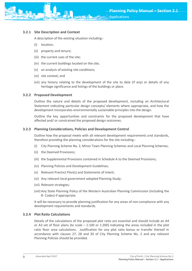

A description of the existing situation including:-

- (i) location;
- (ii) property and tenure;
- (iii) the current uses of the site;
- (iv) the current buildings located on the site;
- (v) an analysis of existing site conditions;
- (vi) site context; and
- (vii) any history relating to the development of the site to date (if any) or details of any heritage significance and listings of the buildings or place.

#### **3.2.2 Proposed Development**

Outline the nature and details of the proposed development, including an Architectural Statement indicating particular design concepts/ elements where appropriate, and how the development incorporates environmentally sustainable principles into the design.

Outline the key opportunities and constraints for the proposed development that have affected and/ or constrained the proposed design outcomes.

#### **3.2.3 Planning Considerations, Policies and Development Control**

Outline how the proposal meets with all relevant development requirements and standards, therefore providing the planning considerations for the site including:-

- (i) City Planning Scheme No. 2, Minor Town Planning Schemes and Local Planning Schemes;
- (ii) the Deemed Provisions;
- (iii) the Supplemental Provisions contained in Schedule A to the Deemed Provisions;
- (iv) Planning Policies and Development Guidelines;
- (v) Relevant Precinct Plan(s) and Statements of Intent;
- (vi) Any relevant local government adopted Planning Study;
- (vii) Relevant strategies;
- (viii) Any State Planning Policy of the Western Australian Planning Commission (including the R- Codes) if appropriate.

It will be necessary to provide planning justification for any areas of non-compliance with any development requirements and standards.

#### **3.2.4 Plot Ratio Calculations**

Details of the calculations of the proposed plot ratio are essential and should include an A4 or A3 set of floor plans (to scale – 1:100 or 1:200) indicating the areas included in the plot ratio floor area calculations. Justification for any plot ratio bonus or transfer thereof in accordance with clauses 27, 28 and 30 of City Planning Scheme No. 2 and any relevant Planning Policies should be provided.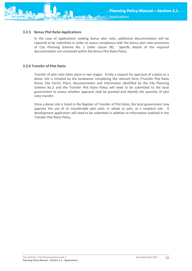

In the case of applications seeking bonus plot ratio, additional documentation will be required to be submitted in order to assess compliance with the bonus plot ratio provisions of City Planning Scheme No. 2 (refer clause 28). Specific details of the required documentation are contained within the Bonus Plot Ratio Policy.

## **3.2.6 Transfer of Plot Ratio**

Transfer of plot ratio takes place in two stages. Firstly a request for approval of a place as a donor site is initiated by the landowner completing the relevant form (Transfer Plot Ratio Donor Site Form). Plans, documentation and information identified by the City Planning Scheme No.2 and the Transfer Plot Ratio Policy will need to be submitted to the local government to assess whether approval shall be granted and identify the quantity of plot ratio transfer.

Once a donor site is listed in the Register of Transfer of Plot Ratio, the local government may approve the use of its transferable plot ratio, in whole or part, at a recipient site. A development application will need to be submitted in addition to information outlined in the Transfer Plot Ratio Policy.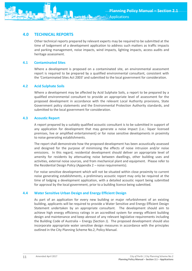# <span id="page-11-0"></span>**4.0 TECHNICAL REPORTS**

Other technical reports prepared by relevant experts may be required to be submitted at the time of lodgement of a development application to address such matters as traffic impacts and parking management, noise impacts, wind impacts, lighting impacts, access audits and heritage assessment.

# <span id="page-11-1"></span>**4.1 Contaminated Sites**

Where a development is proposed on a contaminated site, an environmental assessment report is required to be prepared by a qualified environmental consultant, consistent with the 'Contaminated Sites Act 2003' and submitted to the local government for consideration.

# <span id="page-11-2"></span>**4.2 Acid Sulphate Soils**

Where a development may be affected by Acid Sulphate Soils, a report to be prepared by a qualified environmental consultant to provide an appropriate level of assessment for the proposed development in accordance with the relevant Local Authority provisions, State Government policy statements and the Environmental Protection Authority standards, and submitted to the local government for consideration.

# <span id="page-11-3"></span>**4.3 Acoustic Report**

A report prepared by a suitably qualified acoustic consultant is to be submitted in support of any application for development that may generate a noise impact (i.e.: liquor licensed premises, live or amplified entertainment) or for noise sensitive developments in proximity to noise generating establishments.

The report shall demonstrate how the proposed development has been acoustically assessed and designed for the purpose of minimising the effects of noise intrusion and/or noise emissions. In this regard, residential development should deliver an appropriate level of amenity for residents by attenuating noise between dwellings, other building uses and activities, external noise sources, and from mechanical plant and equipment. Please refer to the Residential Design Policy (Appendix 2 – noise requirements).

For noise sensitive development which will not be situated within close proximity to current noise generating establishments, a preliminary acoustic report may only be required at the time of lodging a development application, with a detailed acoustic report being submitted for approval by the local government, prior to a building licence being submitted.

# <span id="page-11-4"></span>**4.4 Water Sensitive Urban Design and Energy Efficient Design**

As part of an application for every new building or major refurbishment of an existing building, applicants will be required to provide a Water Sensitive and Energy Efficient Design Statement undertaken by an appropriate consultant. The development should aim to achieve high energy efficiency ratings in an accredited system for energy efficient building design and maintenance and keep abreast of any relevant legislative requirements including the Building Code of Australia – Energy (Section J). The proposed development should also incorporate appropriate water sensitive design measures in accordance with the principles outlined in the City Planning Scheme No.2, Policy Manual.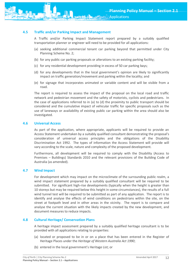<span id="page-12-0"></span>

A Traffic and/or Parking Impact Statement report prepared by a suitably qualified transportation planner or engineer will need to be provided for all applications:

- (a) seeking additional commercial tenant car parking beyond that permitted under City Planning Scheme No. 2;
- (b) for any public car parking proposals or alterations to an existing parking facility;
- (c) for any residential development providing in excess of 50 car parking bays;
- (d) for any developments that in the local government's opinion are likely to significantly impact on traffic generation/movement and parking within the locality; and
- (e) for signage that incorporates animated or variable content and will be visible from a road.

The report is required to assess the impact of the proposal on the local road and traffic network and pedestrian movement and the safety of motorists, cyclists and pedestrians. In the case of applications referred to in (a) to (d) the proximity to public transport should be considered and the cumulative impact of vehicular traffic for specific proposals such as the use of laneways or availability of existing public car parking within the area should also be investigated.

## <span id="page-12-1"></span>**4.6 Universal Access**

As part of the application, where appropriate, applicants will be required to provide an Access Statement undertaken by a suitably qualified consultant demonstrating the proposal's consideration of universal access principles and the obligations of the Disability Discrimination Act 1992. The types of information the Access Statement will provide will vary according to the scale, nature and complexity of the proposed development.

Furthermore, all development will be required to comply with the Disability (Access to Premises – Buildings) Standards 2010 and the relevant provisions of the Building Code of Australia (as amended).

#### <span id="page-12-2"></span>**4.7 Wind Impact**

For development which may impact on the microclimate of the surrounding public realm, a wind impact statement prepared by a suitably qualified consultant will be required to be submitted. For significant high-rise developments (typically when the height is greater than 10 storeys but may be required below this height in some circumstances), the results of a full wind tunnel test will be required to be submitted as part of any application. The report is to identify and analyse the effects of wind conditions on pedestrians within the site, on the street at footpath level and in other areas in the vicinity. The report is to compare and analyse the current situation with the likely impacts created by the new development, and document measures to reduce impacts.

#### <span id="page-12-3"></span>**4.8 Cultural Heritage/ Conservation Plans**

A heritage impact assessment prepared by a suitably qualified heritage consultant is to be provided with all applications relating to properties:

- (a) located or proposed to be in or on a place that has been entered in the Register of Heritage Places under the *Heritage of Western Australia Act 1990*;
- (b) entered in the local government's Heritage List; or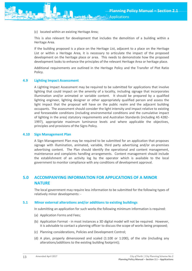

This is also relevant for development that includes the demolition of a building within a Heritage Area.

If the building proposed is a place on the Heritage List, adjacent to a place on the Heritage List or within a Heritage Area, it is necessary to articulate the impact of the proposed development on the heritage place or area. This needs to demonstrate how the proposed development looks to enhance the principles of the relevant Heritage Area or heritage place.

Additional requirements are outlined in the Heritage Policy and the Transfer of Plot Ratio Policy.

#### **4.9 Lighting Impact Assessment**

A Lighting Impact Assessment may be required to be submitted for applications that involve lighting that could impact on the amenity of a locality, including signage that incorporates illumination and/or animated or variable content. It should be prepared by a qualified lighting engineer, lighting designer or other appropriately qualified person and assess the light impact that the proposal will have on the public realm and the adjacent building occupants. The assessment should consider the light intensity and impact relative to existing and foreseeable conditions (including environmental conditions and the cumulative impact of lighting in the area) statutory requirements and Australian Standards (including AS 4282- 1997), appropriate maximum luminance levels and where applicable the objectives, principles and provisions of the Signs Policy.

#### **4.10 Sign Management Plan**

A Sign Management Plan may be required to be submitted for an application that proposes signage with illumination, animated, variable, third party advertising and/or on-premises advertising content. The Plan should identify the operational and content management, maintenance and complaints handling arrangements. Content management should include the establishment of an activity log by the operator which is available to the local government to monitor compliance with any conditions of development approval.

# <span id="page-13-0"></span>**5.0 ACCOMPANYING INFORMATION FOR APPLICATIONS OF A MINOR NATURE**

The local government may require less information to be submitted for the following types of relatively minor developments: -

#### <span id="page-13-1"></span>**5.1 Minor external alterations and/or additions to existing buildings**

In submitting an application for such works the following minimum information is required:

- (a) Application Forms and Fees;
- (b) Application Format in most instances a 3D digital model will not be required. However, it is advisable to contact a planning officer to discuss the scope of works being proposed;
- (c) Planning considerations, Policies and Development Control;
- (d) A plan, properly dimensioned and scaled (1:100 or 1:200), of the site (including any alterations/additions to the existing building footprint);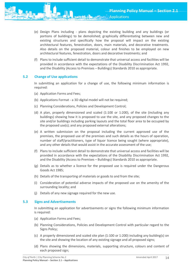

(f) Plans to include sufficient detail to demonstrate that universal access and facilities will be provided in accordance with the expectations of the Disability Discrimination Act 1992, and the Disability (Access to Premises – Buildings) Standards 2010 as appropriate.

## <span id="page-14-0"></span>**5.2 Change of Use applications**

In submitting an application for a change of use, the following minimum information is required:

- (a) Application Forms and Fees;
- (b) Applications Format a 3D digital model will not be required;
- (c) Planning Considerations, Policies and Development Control;
- (d) A plan, properly dimensioned and scaled (1:100 or 1:200), of the site (including any buildings) showing how it is proposed to use the site, and any proposed changes to the site and/or buildings including parking layouts and the total floor area to be occupied by the proposed use(s); and any proposed external alterations;
- (e) A written submission on the proposal including the current approved use of the premises, the proposed use of the premises and such details as the hours of operation, number of staff/practitioners, type of liquor licence being sought (where appropriate), and any other details that would assist in the accurate assessment of the use;
- (f) Plans to include sufficient detail to demonstrate that universal access and facilities will be provided in accordance with the expectations of the Disability Discrimination Act 1992, and the Disability (Access to Premises – Buildings) Standards 2010 as appropriate.
- (g) Details as to whether a licence for the proposed use is required under the Dangerous Goods Act 1985;
- (h) Details of the transporting of materials or goods to and from the site;
- (i) Consideration of potential adverse impacts of the proposed use on the amenity of the surrounding locality; and
- (j) Details of any new signage required for the new use.

#### <span id="page-14-1"></span>**5.3 Signs and Advertisements**

In submitting an application for advertisements or signs the following minimum information is required:

- (a) Application Forms and Fees;
- (b) Planning Considerations, Policies and Development Control with particular regard to the Signs Policy;
- (c) A properly dimensioned and scaled site plan (1:100 or 1:200) including any building(s) on the site and showing the location of any existing signage and all proposed signs;
- (d) Plans showing the dimensions, materials, supporting structure, colours and content of each proposed sign;